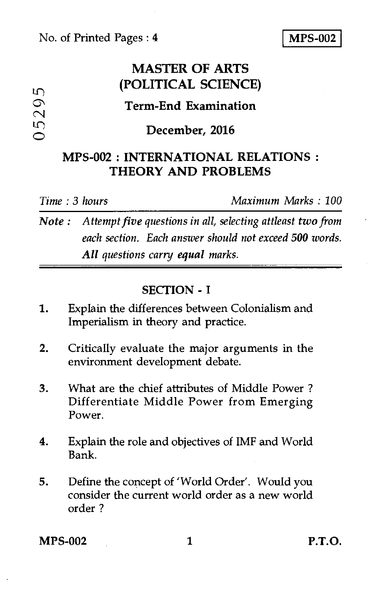### No. of Printed Pages : **4 MPS-002**

## **MASTER OF ARTS (POLITICAL SCIENCE)**

# **Term-End Examination**  O **December, 2016**<br>
O **December, 2016**

### **MPS-002 : INTERNATIONAL RELATIONS : THEORY AND PROBLEMS**

*Time : 3 hours Maximum Marks : 100* 

*Note : Attempt five questions in all, selecting attleast two from each section. Each answer should not exceed 500 words. All questions carry equal marks.* 

### **SECTION - I**

- 1. Explain the differences between Colonialism and Imperialism in theory and practice.
- 2. Critically evaluate the major arguments in the environment development debate.
- 3. What are the chief attributes of Middle Power ? Differentiate Middle Power from Emerging Power.
- 4. Explain the role and objectives of IMF and World Bank.
- 5. Define the concept of 'World Order'. Would you consider the current world order as a new world order ?

**MPS-002 1 P.T.O.**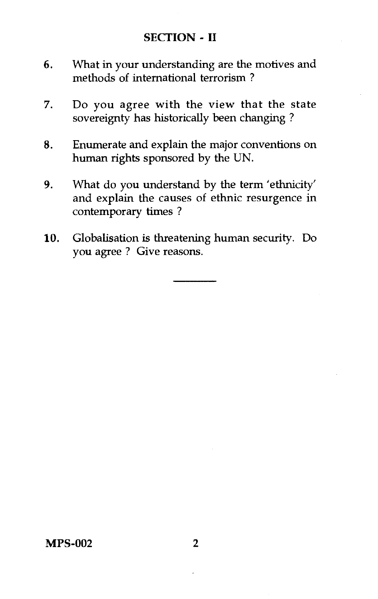### SECTION - **II**

- 6. What in your understanding are the motives and methods of international terrorism ?
- 7. Do you agree with the view that the state sovereignty has historically been changing ?
- 8. Enumerate and explain the major conventions on human rights sponsored by the UN.
- 9. What do you understand by the term 'ethnicity' and explain the causes of ethnic resurgence in contemporary times ?
- 10. Globalisation is threatening human security. Do you agree ? Give reasons.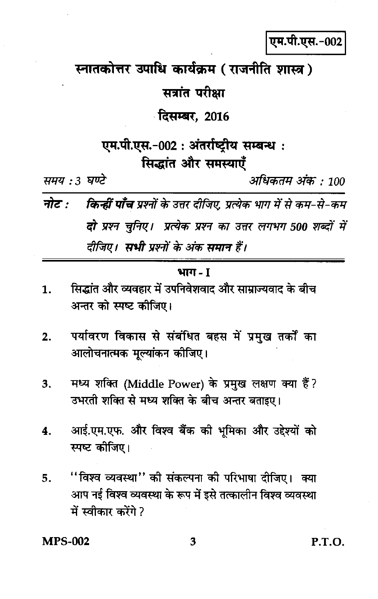एम.पी.एस.-002

स्नातकोत्तर उपाधि कार्यक्रम (राजनीति शास्त्र)

सत्रांत परीक्षा

**दिसम्बर, 2016** 

एम.पी.एस.-002 : अंतर्राष्ट्रीय सम्बन्ध : सिद्धांत और समस्याएँ

समय : 3 घण्टे

अधिकतम अंक : 100

नोट · **किन्हीं पाँच** प्रश्नों के उत्तर दीजिए, प्रत्येक भाग में से कम-से-कम दो प्रश्न चुनिए। प्रत्येक प्रश्न का उत्तर लगभग 500 शब्दों में दीजिए। सभी प्रश्नों के अंक समान हैं।

### भाग - 1

- सिद्धांत और व्यवहार में उपनिवेशवाद और साम्राज्यवाद के बीच  $\mathbf{1}$ . अन्तर को स्पष्ट कीजिए।
- पर्यावरण विकास से संबंधित बहस में प्रमुख तर्कों का  $\overline{2}$ . आलोचनात्मक मुल्यांकन कीजिए।
- मध्य शक्ति (Middle Power) के प्रमुख लक्षण क्या हैं? 3. उभरती शक्ति से मध्य शक्ति के बीच अन्तर बताइए।
- आई.एम.एफ. और विश्व बैंक की भूमिका और उद्देश्यों को 4. स्पष्ट कीजिए।
- ''विश्व व्यवस्था'' की संकल्पना की परिभाषा दीजिए। क्या 5. आप नई विश्व व्यवस्था के रूप में इसे तत्कालीन विश्व व्यवस्था में स्वीकार करेंगे ?

**MPS-002**